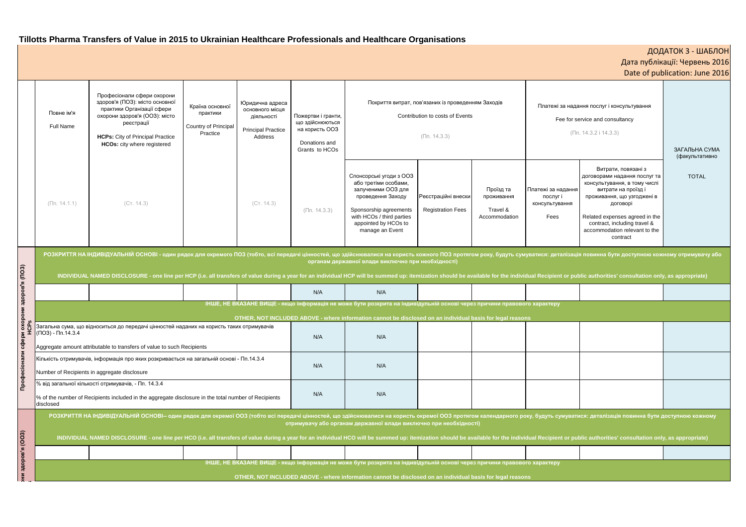# **Tillotts Pharma Transfers of Value in 2015 to Ukrainian Healthcare Professionals and Healthcare Organisations**

|                     |                                                                                                                                                                                                                                                                                                                                                                                                                                                                                                                        |                                                                                                                                                                                                                                                                                                                                                                                    |  |            |                                                                                            | Tillous Pharma Transiers of Value in 2015 to Okrainian Healthcare Professionals and Healthcare Organisations.                                                                                |                                                 |                                                      |                                                                                                             |                                                                                                                                                                                                                                                                     | ДОДАТОК 3 - ШАБЛОН<br>Дата публікації: Червень 2016<br>Date of publication: June 2016 |  |  |  |
|---------------------|------------------------------------------------------------------------------------------------------------------------------------------------------------------------------------------------------------------------------------------------------------------------------------------------------------------------------------------------------------------------------------------------------------------------------------------------------------------------------------------------------------------------|------------------------------------------------------------------------------------------------------------------------------------------------------------------------------------------------------------------------------------------------------------------------------------------------------------------------------------------------------------------------------------|--|------------|--------------------------------------------------------------------------------------------|----------------------------------------------------------------------------------------------------------------------------------------------------------------------------------------------|-------------------------------------------------|------------------------------------------------------|-------------------------------------------------------------------------------------------------------------|---------------------------------------------------------------------------------------------------------------------------------------------------------------------------------------------------------------------------------------------------------------------|---------------------------------------------------------------------------------------|--|--|--|
|                     | Повне ім'я<br>Full Name                                                                                                                                                                                                                                                                                                                                                                                                                                                                                                | Професіонали сфери охорони<br>здоров'я (ПОЗ): місто основної<br>Юридична адреса<br>Країна основної<br>практики Організації сфери<br>основного місця<br>практики<br>охорони здоров'я (ООЗ): місто<br>діяльності<br>реєстрації<br>Country of Principal<br><b>Principal Practice</b><br>Practice<br><b>HCPs:</b> City of Principal Practice<br>Address<br>HCOs: city where registered |  |            | Пожертви і гранти,<br>що здійснюються<br>на користь ООЗ<br>Donations and<br>Grants to HCOs | Покриття витрат, пов'язаних із проведенням Заходів<br>Contribution to costs of Events<br>$(\Pi$ n. 14.3.3)                                                                                   |                                                 |                                                      | Платежі за надання послуг і консультування<br>Fee for service and consultancy<br>$(\Pi n. 14.3.2 i 14.3.3)$ |                                                                                                                                                                                                                                                                     | ЗАГАЛЬНА СУМА<br>(факультативно                                                       |  |  |  |
|                     | $(\Pi$ n. 14.1.1)                                                                                                                                                                                                                                                                                                                                                                                                                                                                                                      | (CT. 14.3)                                                                                                                                                                                                                                                                                                                                                                         |  | (CT. 14.3) | $(\Pi$ n. 14.3.3)                                                                          | Спонсорські угоди з ООЗ<br>або третіми особами,<br>залученими ООЗ для<br>проведення Заходу<br>Sponsorship agreements<br>with HCOs / third parties<br>appointed by HCOs to<br>manage an Event | Реєстраційні внески<br><b>Registration Fees</b> | Проїзд та<br>проживання<br>Travel &<br>Accommodation | Платежі за надання<br>послуг і<br>консультування<br>Fees                                                    | Витрати, повязані з<br>договорами надання послуг та<br>консультування, в тому числі<br>витрати на проїзд і<br>проживання, що узгоджені в<br>договорі<br>Related expenses agreed in the<br>contract, including travel &<br>accommodation relevant to the<br>contract | <b>TOTAL</b>                                                                          |  |  |  |
|                     | РОЗКРИТТЯ НА ІНДИВІДУАЛЬНІЙ ОСНОВІ - один рядок для окремого ПОЗ (тобто, всі передачі цінностей, що здійснювалися на користь кожного ПОЗ протягом року, будуть сумуватися: деталізація повинна бути доступною кожному отримува<br>органам державної влади виключно при необхідності)<br>INDIVIDUAL NAMED DISCLOSURE - one line per HCP (i.e. all transfers of value during a year for an individual HCP will be summed up: itemization should be available for the individual Recipient or public authorities' consult |                                                                                                                                                                                                                                                                                                                                                                                    |  |            |                                                                                            |                                                                                                                                                                                              |                                                 |                                                      |                                                                                                             |                                                                                                                                                                                                                                                                     |                                                                                       |  |  |  |
| рони здоров'я (ПОЗ) |                                                                                                                                                                                                                                                                                                                                                                                                                                                                                                                        |                                                                                                                                                                                                                                                                                                                                                                                    |  |            | N/A                                                                                        | N/A                                                                                                                                                                                          |                                                 |                                                      |                                                                                                             |                                                                                                                                                                                                                                                                     |                                                                                       |  |  |  |
|                     | ІНШЕ, НЕ ВКАЗАНЕ ВИЩЕ - якщо інформація не може бути розкрита на індивідульній основі через причини правового характеру                                                                                                                                                                                                                                                                                                                                                                                                |                                                                                                                                                                                                                                                                                                                                                                                    |  |            |                                                                                            |                                                                                                                                                                                              |                                                 |                                                      |                                                                                                             |                                                                                                                                                                                                                                                                     |                                                                                       |  |  |  |
| edpen oxor<br>HCPs  | OTHER, NOT INCLUDED ABOVE - where information cannot be disclosed on an individual basis for legal reasons<br>Загальна сума, що відноситься до передачі цінностей наданих на користь таких отримувачів<br>(ПОЗ) - Пп.14.3.4                                                                                                                                                                                                                                                                                            |                                                                                                                                                                                                                                                                                                                                                                                    |  |            | N/A                                                                                        | N/A                                                                                                                                                                                          |                                                 |                                                      |                                                                                                             |                                                                                                                                                                                                                                                                     |                                                                                       |  |  |  |
|                     | Aggregate amount attributable to transfers of value to such Recipients<br>Кількість отримувачів, інформація про яких розкривається на загальній основі - Пп.14.3.4<br>Number of Recipients in aggregate disclosure                                                                                                                                                                                                                                                                                                     |                                                                                                                                                                                                                                                                                                                                                                                    |  |            | N/A                                                                                        | N/A                                                                                                                                                                                          |                                                 |                                                      |                                                                                                             |                                                                                                                                                                                                                                                                     |                                                                                       |  |  |  |
| <b>Профе</b>        | disclosed                                                                                                                                                                                                                                                                                                                                                                                                                                                                                                              | % від загальної кількості отримувачів, - Пп. 14.3.4<br>% of the number of Recipients included in the aggregate disclosure in the total number of Recipients                                                                                                                                                                                                                        |  |            | N/A                                                                                        | N/A                                                                                                                                                                                          |                                                 |                                                      |                                                                                                             |                                                                                                                                                                                                                                                                     |                                                                                       |  |  |  |
|                     | РОЗКРИТТЯ НА ІНДИВІДУАЛЬНІЙ ОСНОВІ-- один рядок для окремої ООЗ (тобто всі передачі цінностей, що здійснювалися на користь окремої ООЗ протягом календарного року, будуть сумуватися: деталізація повинна бути доступною кожно<br>отримувачу або органам державної влади виключно при необхідності)                                                                                                                                                                                                                    |                                                                                                                                                                                                                                                                                                                                                                                    |  |            |                                                                                            |                                                                                                                                                                                              |                                                 |                                                      |                                                                                                             |                                                                                                                                                                                                                                                                     |                                                                                       |  |  |  |
|                     | INDIVIDUAL NAMED DISCLOSURE - one line per HCO (i.e. all transfers of value during a year for an individual HCO will be summed up: itemization should be available for the individual Recipient or public authorities' consult                                                                                                                                                                                                                                                                                         |                                                                                                                                                                                                                                                                                                                                                                                    |  |            |                                                                                            |                                                                                                                                                                                              |                                                 |                                                      |                                                                                                             |                                                                                                                                                                                                                                                                     |                                                                                       |  |  |  |
| (COO) в'яородс      |                                                                                                                                                                                                                                                                                                                                                                                                                                                                                                                        |                                                                                                                                                                                                                                                                                                                                                                                    |  |            |                                                                                            |                                                                                                                                                                                              |                                                 |                                                      |                                                                                                             |                                                                                                                                                                                                                                                                     |                                                                                       |  |  |  |
|                     | ІНШЕ, НЕ ВКАЗАНЕ ВИЩЕ - якщо інформація не може бути розкрита на індивідульній основі через причини правового характеру<br>OTHER, NOT INCLUDED ABOVE - where information cannot be disclosed on an individual basis for legal reasons                                                                                                                                                                                                                                                                                  |                                                                                                                                                                                                                                                                                                                                                                                    |  |            |                                                                                            |                                                                                                                                                                                              |                                                 |                                                      |                                                                                                             |                                                                                                                                                                                                                                                                     |                                                                                       |  |  |  |
|                     |                                                                                                                                                                                                                                                                                                                                                                                                                                                                                                                        |                                                                                                                                                                                                                                                                                                                                                                                    |  |            |                                                                                            |                                                                                                                                                                                              |                                                 |                                                      |                                                                                                             |                                                                                                                                                                                                                                                                     |                                                                                       |  |  |  |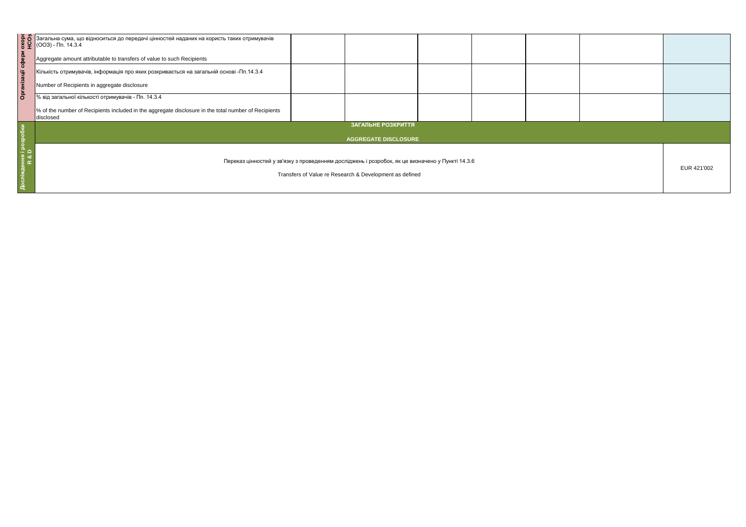|                                 | Set of Saranbha сума, що відноситься до передачі цінностей наданих на користь таких отримувачів<br>(OO3) - Пп. 14.3.4<br>Aggregate amount attributable to transfers of value to such Recipients<br>Kinb Kincrist отримувачів, інфор |  |  |  |  |  |  |  |  |  |
|---------------------------------|-------------------------------------------------------------------------------------------------------------------------------------------------------------------------------------------------------------------------------------|--|--|--|--|--|--|--|--|--|
|                                 |                                                                                                                                                                                                                                     |  |  |  |  |  |  |  |  |  |
|                                 |                                                                                                                                                                                                                                     |  |  |  |  |  |  |  |  |  |
|                                 |                                                                                                                                                                                                                                     |  |  |  |  |  |  |  |  |  |
|                                 |                                                                                                                                                                                                                                     |  |  |  |  |  |  |  |  |  |
|                                 | % of the number of Recipients included in the aggregate disclosure in the total number of Recipients<br>disclosed                                                                                                                   |  |  |  |  |  |  |  |  |  |
|                                 | ЗАГАЛЬНЕ РОЗКРИТТЯ                                                                                                                                                                                                                  |  |  |  |  |  |  |  |  |  |
|                                 | <b>AGGREGATE DISCLOSURE</b>                                                                                                                                                                                                         |  |  |  |  |  |  |  |  |  |
|                                 | Переказ цінностей у зв'язку з проведенням досліджень і розробок, як це визначено у Пункті 14.3.6                                                                                                                                    |  |  |  |  |  |  |  |  |  |
| Досліждення і розробки<br>R & D | Transfers of Value re Research & Development as defined                                                                                                                                                                             |  |  |  |  |  |  |  |  |  |